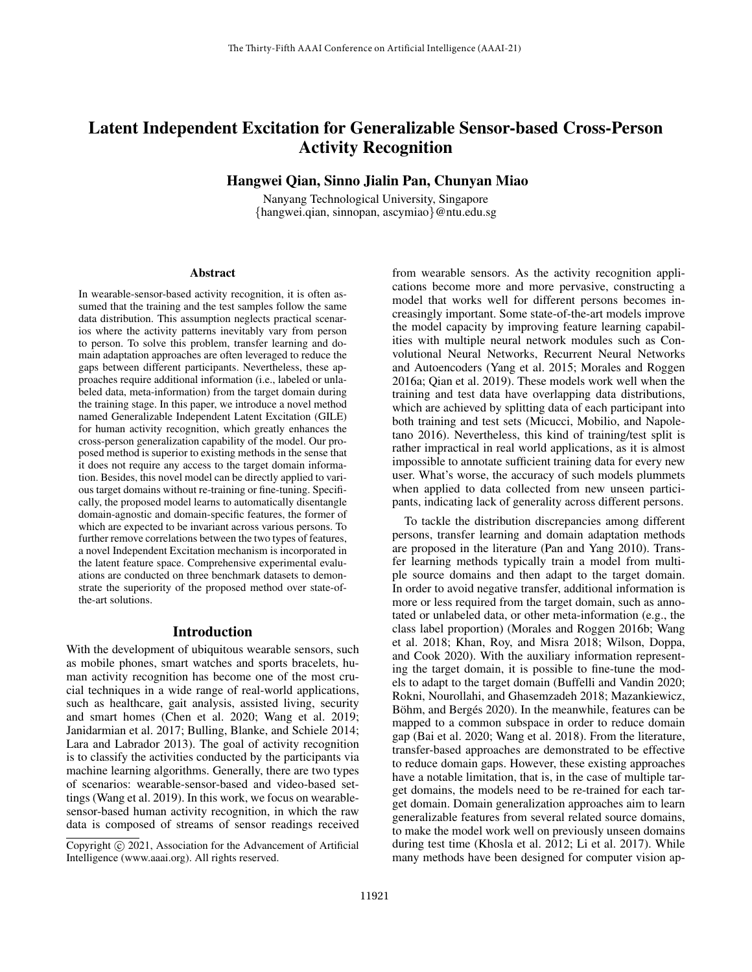# Latent Independent Excitation for Generalizable Sensor-based Cross-Person Activity Recognition

# Hangwei Qian, Sinno Jialin Pan, Chunyan Miao

Nanyang Technological University, Singapore {hangwei.qian, sinnopan, ascymiao}@ntu.edu.sg

#### Abstract

In wearable-sensor-based activity recognition, it is often assumed that the training and the test samples follow the same data distribution. This assumption neglects practical scenarios where the activity patterns inevitably vary from person to person. To solve this problem, transfer learning and domain adaptation approaches are often leveraged to reduce the gaps between different participants. Nevertheless, these approaches require additional information (i.e., labeled or unlabeled data, meta-information) from the target domain during the training stage. In this paper, we introduce a novel method named Generalizable Independent Latent Excitation (GILE) for human activity recognition, which greatly enhances the cross-person generalization capability of the model. Our proposed method is superior to existing methods in the sense that it does not require any access to the target domain information. Besides, this novel model can be directly applied to various target domains without re-training or fine-tuning. Specifically, the proposed model learns to automatically disentangle domain-agnostic and domain-specific features, the former of which are expected to be invariant across various persons. To further remove correlations between the two types of features, a novel Independent Excitation mechanism is incorporated in the latent feature space. Comprehensive experimental evaluations are conducted on three benchmark datasets to demonstrate the superiority of the proposed method over state-ofthe-art solutions.

#### Introduction

With the development of ubiquitous wearable sensors, such as mobile phones, smart watches and sports bracelets, human activity recognition has become one of the most crucial techniques in a wide range of real-world applications, such as healthcare, gait analysis, assisted living, security and smart homes (Chen et al. 2020; Wang et al. 2019; Janidarmian et al. 2017; Bulling, Blanke, and Schiele 2014; Lara and Labrador 2013). The goal of activity recognition is to classify the activities conducted by the participants via machine learning algorithms. Generally, there are two types of scenarios: wearable-sensor-based and video-based settings (Wang et al. 2019). In this work, we focus on wearablesensor-based human activity recognition, in which the raw data is composed of streams of sensor readings received from wearable sensors. As the activity recognition applications become more and more pervasive, constructing a model that works well for different persons becomes increasingly important. Some state-of-the-art models improve the model capacity by improving feature learning capabilities with multiple neural network modules such as Convolutional Neural Networks, Recurrent Neural Networks and Autoencoders (Yang et al. 2015; Morales and Roggen 2016a; Qian et al. 2019). These models work well when the training and test data have overlapping data distributions, which are achieved by splitting data of each participant into both training and test sets (Micucci, Mobilio, and Napoletano 2016). Nevertheless, this kind of training/test split is rather impractical in real world applications, as it is almost impossible to annotate sufficient training data for every new user. What's worse, the accuracy of such models plummets when applied to data collected from new unseen participants, indicating lack of generality across different persons.

To tackle the distribution discrepancies among different persons, transfer learning and domain adaptation methods are proposed in the literature (Pan and Yang 2010). Transfer learning methods typically train a model from multiple source domains and then adapt to the target domain. In order to avoid negative transfer, additional information is more or less required from the target domain, such as annotated or unlabeled data, or other meta-information (e.g., the class label proportion) (Morales and Roggen 2016b; Wang et al. 2018; Khan, Roy, and Misra 2018; Wilson, Doppa, and Cook 2020). With the auxiliary information representing the target domain, it is possible to fine-tune the models to adapt to the target domain (Buffelli and Vandin 2020; Rokni, Nourollahi, and Ghasemzadeh 2018; Mazankiewicz, Böhm, and Bergés 2020). In the meanwhile, features can be mapped to a common subspace in order to reduce domain gap (Bai et al. 2020; Wang et al. 2018). From the literature, transfer-based approaches are demonstrated to be effective to reduce domain gaps. However, these existing approaches have a notable limitation, that is, in the case of multiple target domains, the models need to be re-trained for each target domain. Domain generalization approaches aim to learn generalizable features from several related source domains, to make the model work well on previously unseen domains during test time (Khosla et al. 2012; Li et al. 2017). While many methods have been designed for computer vision ap-

Copyright (c) 2021, Association for the Advancement of Artificial Intelligence (www.aaai.org). All rights reserved.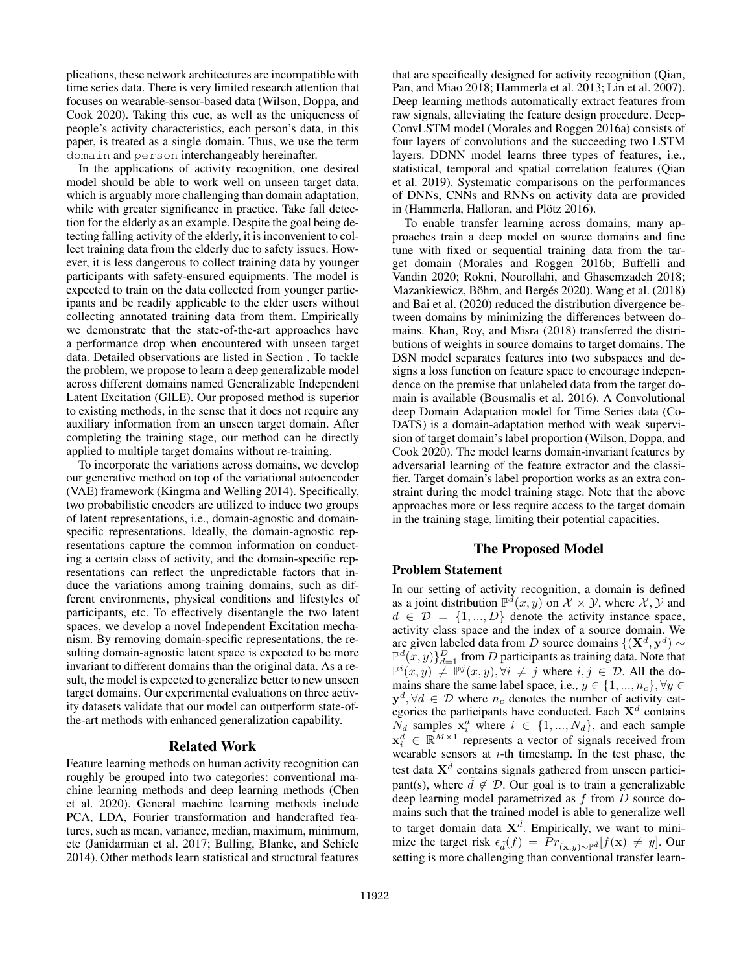plications, these network architectures are incompatible with time series data. There is very limited research attention that focuses on wearable-sensor-based data (Wilson, Doppa, and Cook 2020). Taking this cue, as well as the uniqueness of people's activity characteristics, each person's data, in this paper, is treated as a single domain. Thus, we use the term domain and person interchangeably hereinafter.

In the applications of activity recognition, one desired model should be able to work well on unseen target data, which is arguably more challenging than domain adaptation, while with greater significance in practice. Take fall detection for the elderly as an example. Despite the goal being detecting falling activity of the elderly, it is inconvenient to collect training data from the elderly due to safety issues. However, it is less dangerous to collect training data by younger participants with safety-ensured equipments. The model is expected to train on the data collected from younger participants and be readily applicable to the elder users without collecting annotated training data from them. Empirically we demonstrate that the state-of-the-art approaches have a performance drop when encountered with unseen target data. Detailed observations are listed in Section . To tackle the problem, we propose to learn a deep generalizable model across different domains named Generalizable Independent Latent Excitation (GILE). Our proposed method is superior to existing methods, in the sense that it does not require any auxiliary information from an unseen target domain. After completing the training stage, our method can be directly applied to multiple target domains without re-training.

To incorporate the variations across domains, we develop our generative method on top of the variational autoencoder (VAE) framework (Kingma and Welling 2014). Specifically, two probabilistic encoders are utilized to induce two groups of latent representations, i.e., domain-agnostic and domainspecific representations. Ideally, the domain-agnostic representations capture the common information on conducting a certain class of activity, and the domain-specific representations can reflect the unpredictable factors that induce the variations among training domains, such as different environments, physical conditions and lifestyles of participants, etc. To effectively disentangle the two latent spaces, we develop a novel Independent Excitation mechanism. By removing domain-specific representations, the resulting domain-agnostic latent space is expected to be more invariant to different domains than the original data. As a result, the model is expected to generalize better to new unseen target domains. Our experimental evaluations on three activity datasets validate that our model can outperform state-ofthe-art methods with enhanced generalization capability.

#### Related Work

Feature learning methods on human activity recognition can roughly be grouped into two categories: conventional machine learning methods and deep learning methods (Chen et al. 2020). General machine learning methods include PCA, LDA, Fourier transformation and handcrafted features, such as mean, variance, median, maximum, minimum, etc (Janidarmian et al. 2017; Bulling, Blanke, and Schiele 2014). Other methods learn statistical and structural features

that are specifically designed for activity recognition (Qian, Pan, and Miao 2018; Hammerla et al. 2013; Lin et al. 2007). Deep learning methods automatically extract features from raw signals, alleviating the feature design procedure. Deep-ConvLSTM model (Morales and Roggen 2016a) consists of four layers of convolutions and the succeeding two LSTM layers. DDNN model learns three types of features, i.e., statistical, temporal and spatial correlation features (Qian et al. 2019). Systematic comparisons on the performances of DNNs, CNNs and RNNs on activity data are provided in (Hammerla, Halloran, and Plötz 2016).

To enable transfer learning across domains, many approaches train a deep model on source domains and fine tune with fixed or sequential training data from the target domain (Morales and Roggen 2016b; Buffelli and Vandin 2020; Rokni, Nourollahi, and Ghasemzadeh 2018; Mazankiewicz, Böhm, and Bergés 2020). Wang et al. (2018) and Bai et al. (2020) reduced the distribution divergence between domains by minimizing the differences between domains. Khan, Roy, and Misra (2018) transferred the distributions of weights in source domains to target domains. The DSN model separates features into two subspaces and designs a loss function on feature space to encourage independence on the premise that unlabeled data from the target domain is available (Bousmalis et al. 2016). A Convolutional deep Domain Adaptation model for Time Series data (Co-DATS) is a domain-adaptation method with weak supervision of target domain's label proportion (Wilson, Doppa, and Cook 2020). The model learns domain-invariant features by adversarial learning of the feature extractor and the classifier. Target domain's label proportion works as an extra constraint during the model training stage. Note that the above approaches more or less require access to the target domain in the training stage, limiting their potential capacities.

### The Proposed Model

### Problem Statement

In our setting of activity recognition, a domain is defined as a joint distribution  $\mathbb{P}^d(x, y)$  on  $\mathcal{X} \times \mathcal{Y}$ , where  $\mathcal{X}, \mathcal{Y}$  and  $d \in \mathcal{D} = \{1, ..., D\}$  denote the activity instance space, activity class space and the index of a source domain. We are given labeled data from D source domains  $\{(\mathbf{X}^d, \mathbf{y}^d) \sim \}$  $\mathbb{P}^{d}(x, y)\}_{d=1}^{D}$  from D participants as training data. Note that  $\mathbb{P}^{i}(x, y) \neq \mathbb{P}^{j}(x, y), \forall i \neq j$  where  $i, j \in \mathcal{D}$ . All the domains share the same label space, i.e.,  $y \in \{1, ..., n_c\}, \forall y \in$  $y^d$ ,  $\forall d \in \mathcal{D}$  where  $n_c$  denotes the number of activity categories the participants have conducted. Each  $X<sup>d</sup>$  contains  $\overline{N}_d$  samples  $\mathbf{x}_i^d$  where  $i \in \{1, ..., N_d\}$ , and each sample  $\mathbf{x}_i^d \in \mathbb{R}^{M \times 1}$  represents a vector of signals received from wearable sensors at  $i$ -th timestamp. In the test phase, the test data  $\mathbf{X}^{\tilde{d}}$  contains signals gathered from unseen participant(s), where  $\tilde{d} \notin \mathcal{D}$ . Our goal is to train a generalizable deep learning model parametrized as  $f$  from  $\overline{D}$  source domains such that the trained model is able to generalize well to target domain data  $\mathbf{X}^{\tilde{d}}$ . Empirically, we want to minimize the target risk  $\epsilon_{\tilde{d}}(f) = \Pr_{(\mathbf{x},y) \sim \mathbb{P}^{\tilde{d}}}[f(\mathbf{x}) \neq y]$ . Our setting is more challenging than conventional transfer learn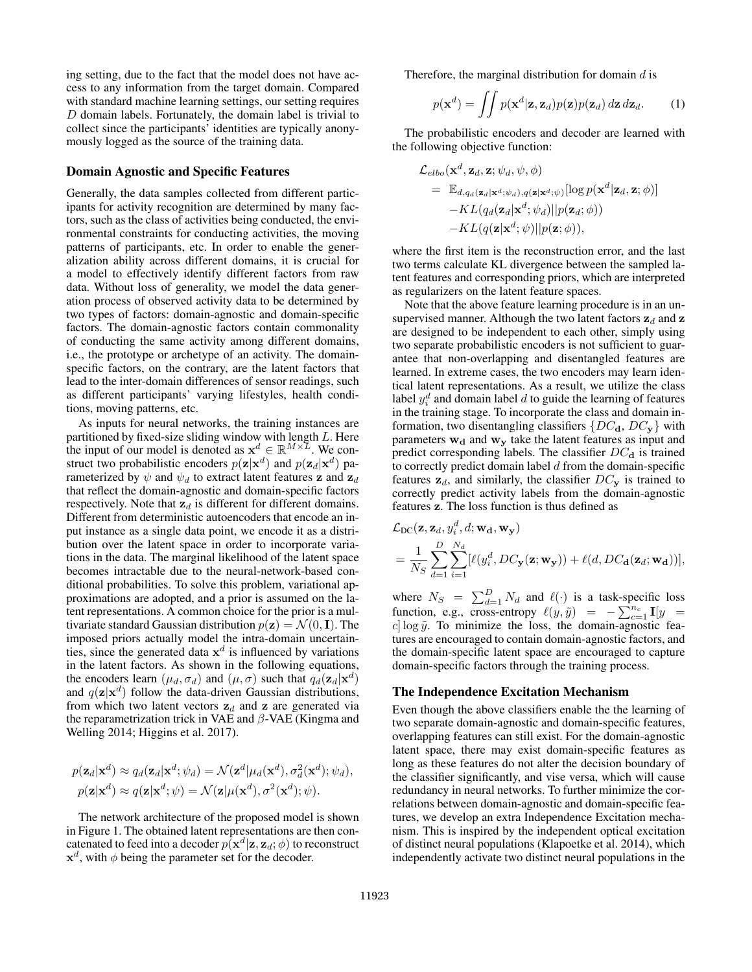ing setting, due to the fact that the model does not have access to any information from the target domain. Compared with standard machine learning settings, our setting requires  $D$  domain labels. Fortunately, the domain label is trivial to collect since the participants' identities are typically anonymously logged as the source of the training data.

#### Domain Agnostic and Specific Features

Generally, the data samples collected from different participants for activity recognition are determined by many factors, such as the class of activities being conducted, the environmental constraints for conducting activities, the moving patterns of participants, etc. In order to enable the generalization ability across different domains, it is crucial for a model to effectively identify different factors from raw data. Without loss of generality, we model the data generation process of observed activity data to be determined by two types of factors: domain-agnostic and domain-specific factors. The domain-agnostic factors contain commonality of conducting the same activity among different domains, i.e., the prototype or archetype of an activity. The domainspecific factors, on the contrary, are the latent factors that lead to the inter-domain differences of sensor readings, such as different participants' varying lifestyles, health conditions, moving patterns, etc.

As inputs for neural networks, the training instances are partitioned by fixed-size sliding window with length L. Here the input of our model is denoted as  $x^d \in \mathbb{R}^{M \times \mathcal{I}}$ . We construct two probabilistic encoders  $p(\mathbf{z}|\mathbf{x}^d)$  and  $p(\mathbf{z}_d|\mathbf{x}^d)$  parameterized by  $\psi$  and  $\psi_d$  to extract latent features **z** and  $\mathbf{z}_d$ that reflect the domain-agnostic and domain-specific factors respectively. Note that  $z_d$  is different for different domains. Different from deterministic autoencoders that encode an input instance as a single data point, we encode it as a distribution over the latent space in order to incorporate variations in the data. The marginal likelihood of the latent space becomes intractable due to the neural-network-based conditional probabilities. To solve this problem, variational approximations are adopted, and a prior is assumed on the latent representations. A common choice for the prior is a multivariate standard Gaussian distribution  $p(\mathbf{z}) = \mathcal{N}(0, \mathbf{I})$ . The imposed priors actually model the intra-domain uncertainties, since the generated data  $x<sup>d</sup>$  is influenced by variations in the latent factors. As shown in the following equations, the encoders learn  $(\mu_d, \sigma_d)$  and  $(\mu, \sigma)$  such that  $q_d(\mathbf{z}_d|\mathbf{x}^d)$ and  $q(\mathbf{z}|\mathbf{x}^d)$  follow the data-driven Gaussian distributions, from which two latent vectors  $z_d$  and z are generated via the reparametrization trick in VAE and  $\beta$ -VAE (Kingma and Welling 2014; Higgins et al. 2017).

$$
p(\mathbf{z}_d|\mathbf{x}^d) \approx q_d(\mathbf{z}_d|\mathbf{x}^d; \psi_d) = \mathcal{N}(\mathbf{z}^d|\mu_d(\mathbf{x}^d), \sigma_d^2(\mathbf{x}^d); \psi_d),
$$
  
\n
$$
p(\mathbf{z}|\mathbf{x}^d) \approx q(\mathbf{z}|\mathbf{x}^d; \psi) = \mathcal{N}(\mathbf{z}|\mu(\mathbf{x}^d), \sigma^2(\mathbf{x}^d); \psi).
$$

The network architecture of the proposed model is shown in Figure 1. The obtained latent representations are then concatenated to feed into a decoder  $p(\mathbf{x}^d|\mathbf{z}, \mathbf{z}_d; \phi)$  to reconstruct  $x<sup>d</sup>$ , with  $\phi$  being the parameter set for the decoder.

Therefore, the marginal distribution for domain  $d$  is

$$
p(\mathbf{x}^d) = \iint p(\mathbf{x}^d | \mathbf{z}, \mathbf{z}_d) p(\mathbf{z}) p(\mathbf{z}_d) \, d\mathbf{z} \, d\mathbf{z}_d. \tag{1}
$$

The probabilistic encoders and decoder are learned with the following objective function:

$$
\mathcal{L}_{elbo}(\mathbf{x}^d, \mathbf{z}_d, \mathbf{z}; \psi_d, \psi, \phi) \n= \mathbb{E}_{d,q_d(\mathbf{z}_d|\mathbf{x}^d; \psi_d), q(\mathbf{z}|\mathbf{x}^d; \psi)}[\log p(\mathbf{x}^d | \mathbf{z}_d, \mathbf{z}; \phi)] \n- KL(q_d(\mathbf{z}_d | \mathbf{x}^d; \psi_d) || p(\mathbf{z}_d; \phi)) \n- KL(q(\mathbf{z} | \mathbf{x}^d; \psi) || p(\mathbf{z}; \phi)),
$$

where the first item is the reconstruction error, and the last two terms calculate KL divergence between the sampled latent features and corresponding priors, which are interpreted as regularizers on the latent feature spaces.

Note that the above feature learning procedure is in an unsupervised manner. Although the two latent factors  $z_d$  and z are designed to be independent to each other, simply using two separate probabilistic encoders is not sufficient to guarantee that non-overlapping and disentangled features are learned. In extreme cases, the two encoders may learn identical latent representations. As a result, we utilize the class label  $y_i^d$  and domain label  $d$  to guide the learning of features in the training stage. To incorporate the class and domain information, two disentangling classifiers  $\{DC_{\bf d}, DC_{\bf v}\}\$  with parameters  $w_d$  and  $w_y$  take the latent features as input and predict corresponding labels. The classifier  $DC_{d}$  is trained to correctly predict domain label  $d$  from the domain-specific features  $z_d$ , and similarly, the classifier  $DC_v$  is trained to correctly predict activity labels from the domain-agnostic features z. The loss function is thus defined as

$$
\mathcal{L}_{\text{DC}}(\mathbf{z}, \mathbf{z}_d, y_i^d, d; \mathbf{w_d}, \mathbf{w_y})
$$
\n
$$
= \frac{1}{N_S} \sum_{d=1}^D \sum_{i=1}^{N_d} [\ell(y_i^d, DC_{\mathbf{y}}(\mathbf{z}; \mathbf{w_y})) + \ell(d, DC_{\mathbf{d}}(\mathbf{z}_d; \mathbf{w_d}))],
$$

where  $N_S = \sum_{d=1}^{D} N_d$  and  $\ell(\cdot)$  is a task-specific loss function, e.g., cross-entropy  $\ell(y, \tilde{y}) = -\sum_{c=1}^{n_c} \mathbf{I}[y] =$  $c$  log  $\tilde{y}$ . To minimize the loss, the domain-agnostic features are encouraged to contain domain-agnostic factors, and the domain-specific latent space are encouraged to capture domain-specific factors through the training process.

#### The Independence Excitation Mechanism

Even though the above classifiers enable the the learning of two separate domain-agnostic and domain-specific features, overlapping features can still exist. For the domain-agnostic latent space, there may exist domain-specific features as long as these features do not alter the decision boundary of the classifier significantly, and vise versa, which will cause redundancy in neural networks. To further minimize the correlations between domain-agnostic and domain-specific features, we develop an extra Independence Excitation mechanism. This is inspired by the independent optical excitation of distinct neural populations (Klapoetke et al. 2014), which independently activate two distinct neural populations in the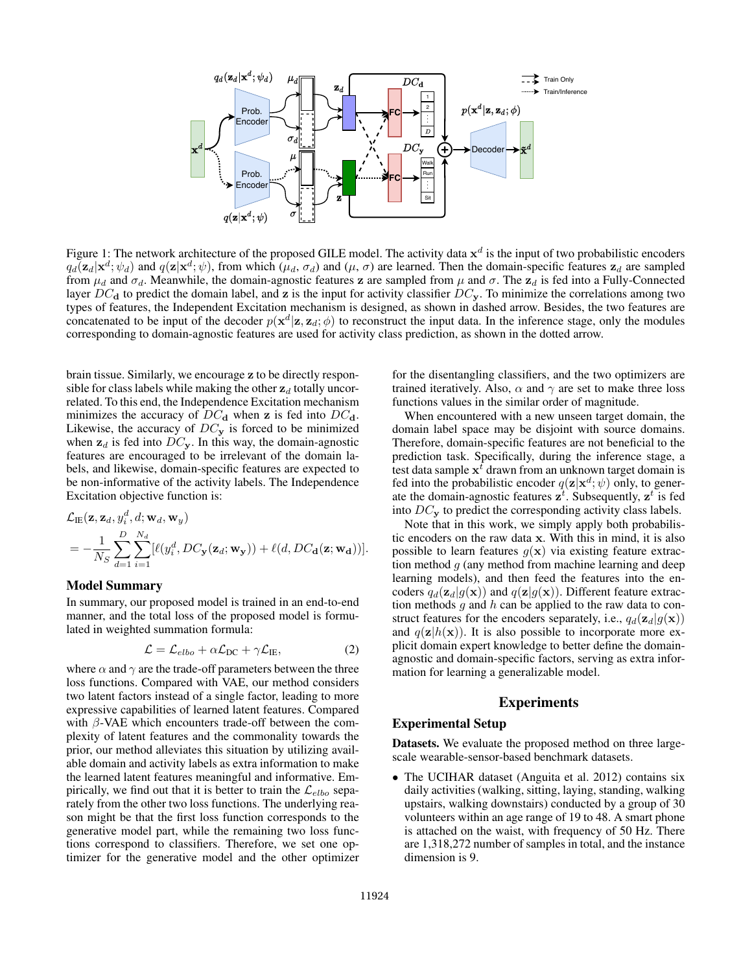

Figure 1: The network architecture of the proposed GILE model. The activity data  $x^d$  is the input of two probabilistic encoders  $q_d(\mathbf{z}_d|\mathbf{x}^d; \psi_d)$  and  $q(\mathbf{z}|\mathbf{x}^d; \psi)$ , from which  $(\mu_d, \sigma_d)$  and  $(\mu, \sigma)$  are learned. Then the domain-specific features  $\mathbf{z}_d$  are sampled from  $\mu_d$  and  $\sigma_d$ . Meanwhile, the domain-agnostic features z are sampled from  $\mu$  and  $\sigma$ . The  $z_d$  is fed into a Fully-Connected layer  $DC<sub>d</sub>$  to predict the domain label, and z is the input for activity classifier  $DC<sub>v</sub>$ . To minimize the correlations among two types of features, the Independent Excitation mechanism is designed, as shown in dashed arrow. Besides, the two features are concatenated to be input of the decoder  $p(\mathbf{x}^d|\mathbf{z}, \mathbf{z}_d; \phi)$  to reconstruct the input data. In the inference stage, only the modules corresponding to domain-agnostic features are used for activity class prediction, as shown in the dotted arrow.

brain tissue. Similarly, we encourage z to be directly responsible for class labels while making the other  $z_d$  totally uncorrelated. To this end, the Independence Excitation mechanism minimizes the accuracy of  $DC<sub>d</sub>$  when z is fed into  $DC<sub>d</sub>$ . Likewise, the accuracy of  $DC_y$  is forced to be minimized when  $z_d$  is fed into  $DC_y$ . In this way, the domain-agnostic features are encouraged to be irrelevant of the domain labels, and likewise, domain-specific features are expected to be non-informative of the activity labels. The Independence Excitation objective function is:

$$
\mathcal{L}_{\text{IE}}(\mathbf{z}, \mathbf{z}_d, y_i^d, d; \mathbf{w}_d, \mathbf{w}_y)
$$
\n
$$
= -\frac{1}{N_S} \sum_{d=1}^D \sum_{i=1}^{N_d} [\ell(y_i^d, DC_{\mathbf{y}}(\mathbf{z}_d; \mathbf{w}_{\mathbf{y}})) + \ell(d, DC_{\mathbf{d}}(\mathbf{z}; \mathbf{w}_{\mathbf{d}}))].
$$

#### Model Summary

In summary, our proposed model is trained in an end-to-end manner, and the total loss of the proposed model is formulated in weighted summation formula:

$$
\mathcal{L} = \mathcal{L}_{elbo} + \alpha \mathcal{L}_{DC} + \gamma \mathcal{L}_{IE},\tag{2}
$$

where  $\alpha$  and  $\gamma$  are the trade-off parameters between the three loss functions. Compared with VAE, our method considers two latent factors instead of a single factor, leading to more expressive capabilities of learned latent features. Compared with  $\beta$ -VAE which encounters trade-off between the complexity of latent features and the commonality towards the prior, our method alleviates this situation by utilizing available domain and activity labels as extra information to make the learned latent features meaningful and informative. Empirically, we find out that it is better to train the  $\mathcal{L}_{elbo}$  separately from the other two loss functions. The underlying reason might be that the first loss function corresponds to the generative model part, while the remaining two loss functions correspond to classifiers. Therefore, we set one optimizer for the generative model and the other optimizer for the disentangling classifiers, and the two optimizers are trained iteratively. Also,  $\alpha$  and  $\gamma$  are set to make three loss functions values in the similar order of magnitude.

When encountered with a new unseen target domain, the domain label space may be disjoint with source domains. Therefore, domain-specific features are not beneficial to the prediction task. Specifically, during the inference stage, a test data sample  $x^{\bar{t}}$  drawn from an unknown target domain is fed into the probabilistic encoder  $q(\mathbf{z}|\mathbf{x}^d; \psi)$  only, to generate the domain-agnostic features  $\mathbf{z}^t$ . Subsequently,  $\mathbf{z}^t$  is fed into  $DC_{\mathbf{y}}$  to predict the corresponding activity class labels.

Note that in this work, we simply apply both probabilistic encoders on the raw data x. With this in mind, it is also possible to learn features  $g(x)$  via existing feature extraction method  $g$  (any method from machine learning and deep learning models), and then feed the features into the encoders  $q_d(\mathbf{z}_d|g(\mathbf{x}))$  and  $q(\mathbf{z}|g(\mathbf{x}))$ . Different feature extraction methods  $g$  and  $h$  can be applied to the raw data to construct features for the encoders separately, i.e.,  $q_d(\mathbf{z}_d|g(\mathbf{x}))$ and  $q(\mathbf{z}|h(\mathbf{x}))$ . It is also possible to incorporate more explicit domain expert knowledge to better define the domainagnostic and domain-specific factors, serving as extra information for learning a generalizable model.

# Experiments

# Experimental Setup

Datasets. We evaluate the proposed method on three largescale wearable-sensor-based benchmark datasets.

• The UCIHAR dataset (Anguita et al. 2012) contains six daily activities (walking, sitting, laying, standing, walking upstairs, walking downstairs) conducted by a group of 30 volunteers within an age range of 19 to 48. A smart phone is attached on the waist, with frequency of 50 Hz. There are 1,318,272 number of samples in total, and the instance dimension is 9.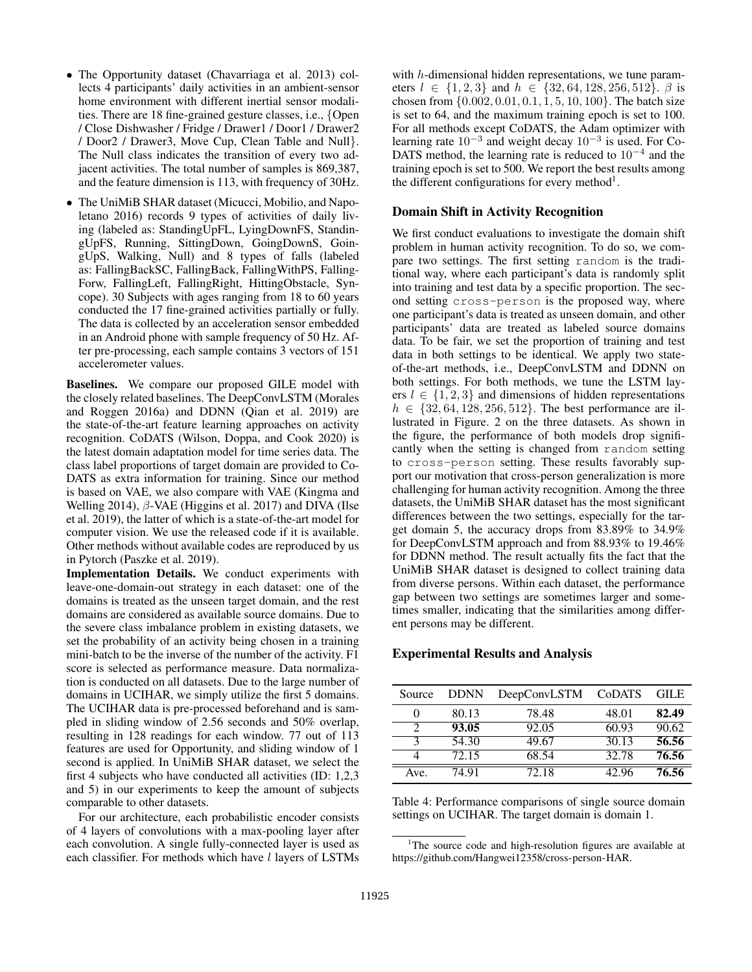- The Opportunity dataset (Chavarriaga et al. 2013) collects 4 participants' daily activities in an ambient-sensor home environment with different inertial sensor modalities. There are 18 fine-grained gesture classes, i.e., {Open / Close Dishwasher / Fridge / Drawer1 / Door1 / Drawer2 / Door2 / Drawer3, Move Cup, Clean Table and Null}. The Null class indicates the transition of every two adjacent activities. The total number of samples is 869,387, and the feature dimension is 113, with frequency of 30Hz.
- The UniMiB SHAR dataset (Micucci, Mobilio, and Napoletano 2016) records 9 types of activities of daily living (labeled as: StandingUpFL, LyingDownFS, StandingUpFS, Running, SittingDown, GoingDownS, GoingUpS, Walking, Null) and 8 types of falls (labeled as: FallingBackSC, FallingBack, FallingWithPS, Falling-Forw, FallingLeft, FallingRight, HittingObstacle, Syncope). 30 Subjects with ages ranging from 18 to 60 years conducted the 17 fine-grained activities partially or fully. The data is collected by an acceleration sensor embedded in an Android phone with sample frequency of 50 Hz. After pre-processing, each sample contains 3 vectors of 151 accelerometer values.

Baselines. We compare our proposed GILE model with the closely related baselines. The DeepConvLSTM (Morales and Roggen 2016a) and DDNN (Qian et al. 2019) are the state-of-the-art feature learning approaches on activity recognition. CoDATS (Wilson, Doppa, and Cook 2020) is the latest domain adaptation model for time series data. The class label proportions of target domain are provided to Co-DATS as extra information for training. Since our method is based on VAE, we also compare with VAE (Kingma and Welling 2014),  $\beta$ -VAE (Higgins et al. 2017) and DIVA (Ilse et al. 2019), the latter of which is a state-of-the-art model for computer vision. We use the released code if it is available. Other methods without available codes are reproduced by us in Pytorch (Paszke et al. 2019).

Implementation Details. We conduct experiments with leave-one-domain-out strategy in each dataset: one of the domains is treated as the unseen target domain, and the rest domains are considered as available source domains. Due to the severe class imbalance problem in existing datasets, we set the probability of an activity being chosen in a training mini-batch to be the inverse of the number of the activity. F1 score is selected as performance measure. Data normalization is conducted on all datasets. Due to the large number of domains in UCIHAR, we simply utilize the first 5 domains. The UCIHAR data is pre-processed beforehand and is sampled in sliding window of 2.56 seconds and 50% overlap, resulting in 128 readings for each window. 77 out of 113 features are used for Opportunity, and sliding window of 1 second is applied. In UniMiB SHAR dataset, we select the first 4 subjects who have conducted all activities (ID: 1,2,3 and 5) in our experiments to keep the amount of subjects comparable to other datasets.

For our architecture, each probabilistic encoder consists of 4 layers of convolutions with a max-pooling layer after each convolution. A single fully-connected layer is used as each classifier. For methods which have  $l$  layers of LSTMs

with h-dimensional hidden representations, we tune parameters  $l \in \{1, 2, 3\}$  and  $h \in \{32, 64, 128, 256, 512\}$ .  $\beta$  is chosen from {0.002, 0.01, 0.1, 1, 5, 10, 100}. The batch size is set to 64, and the maximum training epoch is set to 100. For all methods except CoDATS, the Adam optimizer with learning rate  $10^{-3}$  and weight decay  $10^{-3}$  is used. For Co-DATS method, the learning rate is reduced to  $10^{-4}$  and the training epoch is set to 500. We report the best results among the different configurations for every method<sup>1</sup>.

## Domain Shift in Activity Recognition

We first conduct evaluations to investigate the domain shift problem in human activity recognition. To do so, we compare two settings. The first setting random is the traditional way, where each participant's data is randomly split into training and test data by a specific proportion. The second setting cross-person is the proposed way, where one participant's data is treated as unseen domain, and other participants' data are treated as labeled source domains data. To be fair, we set the proportion of training and test data in both settings to be identical. We apply two stateof-the-art methods, i.e., DeepConvLSTM and DDNN on both settings. For both methods, we tune the LSTM layers  $l \in \{1, 2, 3\}$  and dimensions of hidden representations  $h \in \{32, 64, 128, 256, 512\}$ . The best performance are illustrated in Figure. 2 on the three datasets. As shown in the figure, the performance of both models drop significantly when the setting is changed from random setting to cross-person setting. These results favorably support our motivation that cross-person generalization is more challenging for human activity recognition. Among the three datasets, the UniMiB SHAR dataset has the most significant differences between the two settings, especially for the target domain 5, the accuracy drops from 83.89% to 34.9% for DeepConvLSTM approach and from 88.93% to 19.46% for DDNN method. The result actually fits the fact that the UniMiB SHAR dataset is designed to collect training data from diverse persons. Within each dataset, the performance gap between two settings are sometimes larger and sometimes smaller, indicating that the similarities among different persons may be different.

#### Experimental Results and Analysis

| Source | <b>DDNN</b> | DeepConvLSTM | CoDATS | <b>GILE</b> |
|--------|-------------|--------------|--------|-------------|
| 0      | 80.13       | 78.48        | 48.01  | 82.49       |
| 2      | 93.05       | 92.05        | 60.93  | 90.62       |
| κ      | 54.30       | 49.67        | 30.13  | 56.56       |
|        | 72.15       | 68.54        | 32.78  | 76.56       |
| Ave.   | 74.91       | 72.18        | 42.96  | 76.56       |

Table 4: Performance comparisons of single source domain settings on UCIHAR. The target domain is domain 1.

<sup>&</sup>lt;sup>1</sup>The source code and high-resolution figures are available at https://github.com/Hangwei12358/cross-person-HAR.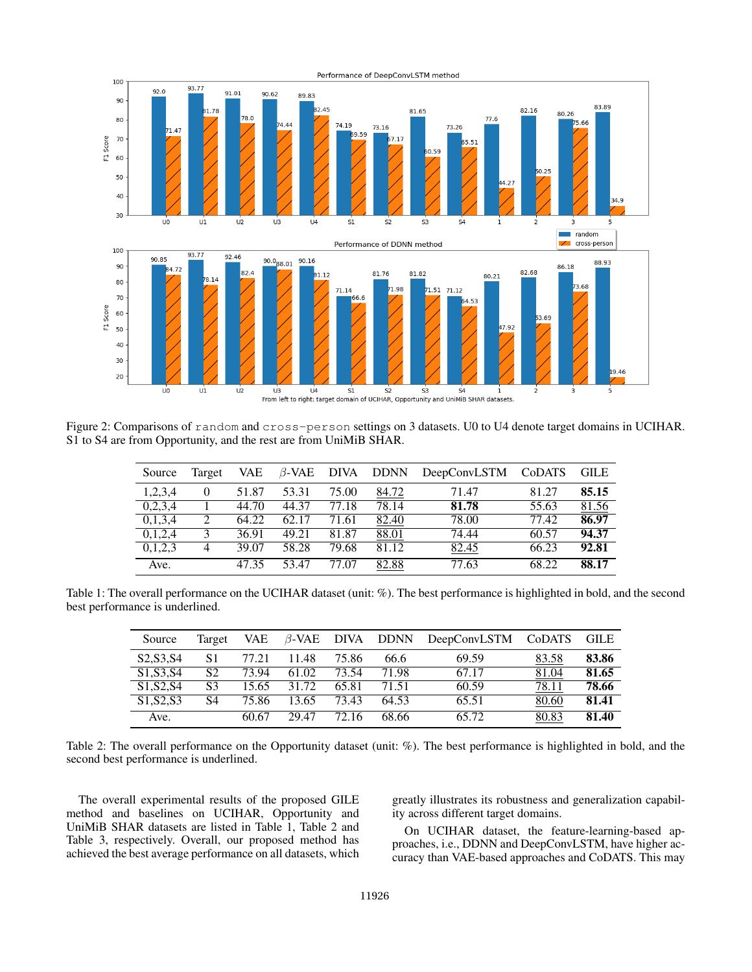

Figure 2: Comparisons of random and cross-person settings on 3 datasets. U0 to U4 denote target domains in UCIHAR. S1 to S4 are from Opportunity, and the rest are from UniMiB SHAR.

| Source             | Target | <b>VAE</b> | $\beta$ -VAE DIVA |       | <b>DDNN</b> | DeepConvLSTM | <b>CoDATS</b> | <b>GILE</b> |
|--------------------|--------|------------|-------------------|-------|-------------|--------------|---------------|-------------|
| 1,2,3,4            |        | 51.87      | 53.31             | 75.00 | 84.72       | 71.47        | 81.27         | 85.15       |
| 0,2,3,4            |        | 44.70      | 44.37             | 77.18 | 78.14       | 81.78        | 55.63         | 81.56       |
| 0,1,3,4            | 2      | 64.22      | 62.17             | 71.61 | 82.40       | 78.00        | 77.42         | 86.97       |
| 0,1,2,4            | κ      | 36.91      | 49.21             | 81.87 | 88.01       | 74.44        | 60.57         | 94.37       |
| 0,1,2,3            | 4      | 39.07      | 58.28             | 79.68 | 81.12       | 82.45        | 66.23         | 92.81       |
| $\overline{Ave}$ . |        | 4735       | 53.47             | 77.07 | 82.88       | 77.63        | 68.22         | 88.17       |

Table 1: The overall performance on the UCIHAR dataset (unit: %). The best performance is highlighted in bold, and the second best performance is underlined.

| Source                                           | Target | VAE   |       |       | $\beta$ -VAE DIVA DDNN | DeepConvLSTM CoDATS |       | GILE  |
|--------------------------------------------------|--------|-------|-------|-------|------------------------|---------------------|-------|-------|
| S <sub>2</sub> , S <sub>3</sub> , S <sub>4</sub> | S1     | 77.21 | 11.48 | 75.86 | 66.6                   | 69.59               | 83.58 | 83.86 |
| S <sub>1</sub> , S <sub>3</sub> , S <sub>4</sub> | S2     | 73.94 | 61.02 | 73.54 | 71.98                  | 67.17               | 81.04 | 81.65 |
| S1.S2.S4                                         | S3     | 15.65 | 31.72 | 65.81 | 71.51                  | 60.59               | 78.11 | 78.66 |
| S <sub>1</sub> .S <sub>2</sub> .S <sub>3</sub>   | S4     | 75.86 | 13.65 | 73.43 | 64.53                  | 65.51               | 80.60 | 81.41 |
| Ave.                                             |        | 60.67 | 29.47 | 72.16 | 68.66                  | 65.72               | 80.83 | 81.40 |

Table 2: The overall performance on the Opportunity dataset (unit: %). The best performance is highlighted in bold, and the second best performance is underlined.

The overall experimental results of the proposed GILE method and baselines on UCIHAR, Opportunity and UniMiB SHAR datasets are listed in Table 1, Table 2 and Table 3, respectively. Overall, our proposed method has achieved the best average performance on all datasets, which greatly illustrates its robustness and generalization capability across different target domains.

On UCIHAR dataset, the feature-learning-based approaches, i.e., DDNN and DeepConvLSTM, have higher accuracy than VAE-based approaches and CoDATS. This may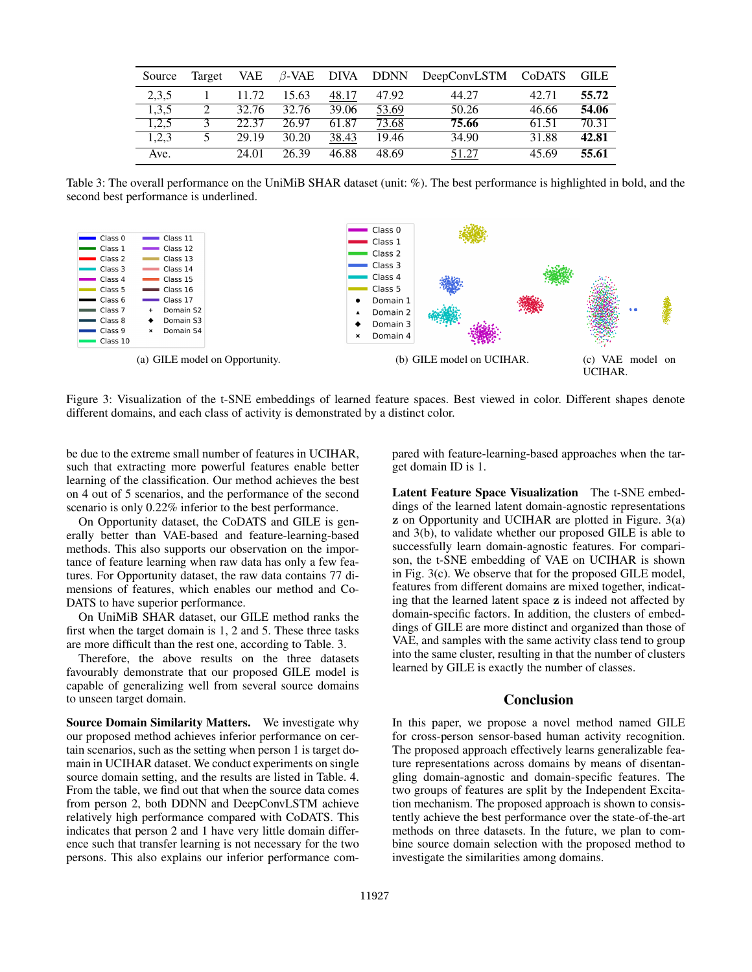| Source | Target | VAE   | $\beta$ -VAE DIVA DDNN |       |       | DeepConvLSTM CoDATS |       | - GILE |
|--------|--------|-------|------------------------|-------|-------|---------------------|-------|--------|
| 2,3,5  |        | 11.72 | 15.63                  | 48.17 | 47.92 | 44.27               | 42.71 | 55.72  |
| 1,3,5  | 2      | 32.76 | 32.76                  | 39.06 | 53.69 | 50.26               | 46.66 | 54.06  |
| 1,2,5  |        | 22.37 | 26.97                  | 61.87 | 73.68 | 75.66               | 61.51 | 70.31  |
| 1.2.3  | 5      | 29.19 | 30.20                  | 38.43 | 19.46 | 34.90               | 31.88 | 42.81  |
| Ave.   |        | 24.01 | 26.39                  | 46.88 | 48.69 | 51.27               | 45.69 | 55.61  |

Table 3: The overall performance on the UniMiB SHAR dataset (unit: %). The best performance is highlighted in bold, and the second best performance is underlined.



Figure 3: Visualization of the t-SNE embeddings of learned feature spaces. Best viewed in color. Different shapes denote different domains, and each class of activity is demonstrated by a distinct color.

be due to the extreme small number of features in UCIHAR, such that extracting more powerful features enable better learning of the classification. Our method achieves the best on 4 out of 5 scenarios, and the performance of the second scenario is only 0.22% inferior to the best performance.

On Opportunity dataset, the CoDATS and GILE is generally better than VAE-based and feature-learning-based methods. This also supports our observation on the importance of feature learning when raw data has only a few features. For Opportunity dataset, the raw data contains 77 dimensions of features, which enables our method and Co-DATS to have superior performance.

On UniMiB SHAR dataset, our GILE method ranks the first when the target domain is 1, 2 and 5. These three tasks are more difficult than the rest one, according to Table. 3.

Therefore, the above results on the three datasets favourably demonstrate that our proposed GILE model is capable of generalizing well from several source domains to unseen target domain.

Source Domain Similarity Matters. We investigate why our proposed method achieves inferior performance on certain scenarios, such as the setting when person 1 is target domain in UCIHAR dataset. We conduct experiments on single source domain setting, and the results are listed in Table. 4. From the table, we find out that when the source data comes from person 2, both DDNN and DeepConvLSTM achieve relatively high performance compared with CoDATS. This indicates that person 2 and 1 have very little domain difference such that transfer learning is not necessary for the two persons. This also explains our inferior performance compared with feature-learning-based approaches when the target domain ID is 1.

Latent Feature Space Visualization The t-SNE embeddings of the learned latent domain-agnostic representations z on Opportunity and UCIHAR are plotted in Figure. 3(a) and 3(b), to validate whether our proposed GILE is able to successfully learn domain-agnostic features. For comparison, the t-SNE embedding of VAE on UCIHAR is shown in Fig. 3(c). We observe that for the proposed GILE model, features from different domains are mixed together, indicating that the learned latent space z is indeed not affected by domain-specific factors. In addition, the clusters of embeddings of GILE are more distinct and organized than those of VAE, and samples with the same activity class tend to group into the same cluster, resulting in that the number of clusters learned by GILE is exactly the number of classes.

#### Conclusion

In this paper, we propose a novel method named GILE for cross-person sensor-based human activity recognition. The proposed approach effectively learns generalizable feature representations across domains by means of disentangling domain-agnostic and domain-specific features. The two groups of features are split by the Independent Excitation mechanism. The proposed approach is shown to consistently achieve the best performance over the state-of-the-art methods on three datasets. In the future, we plan to combine source domain selection with the proposed method to investigate the similarities among domains.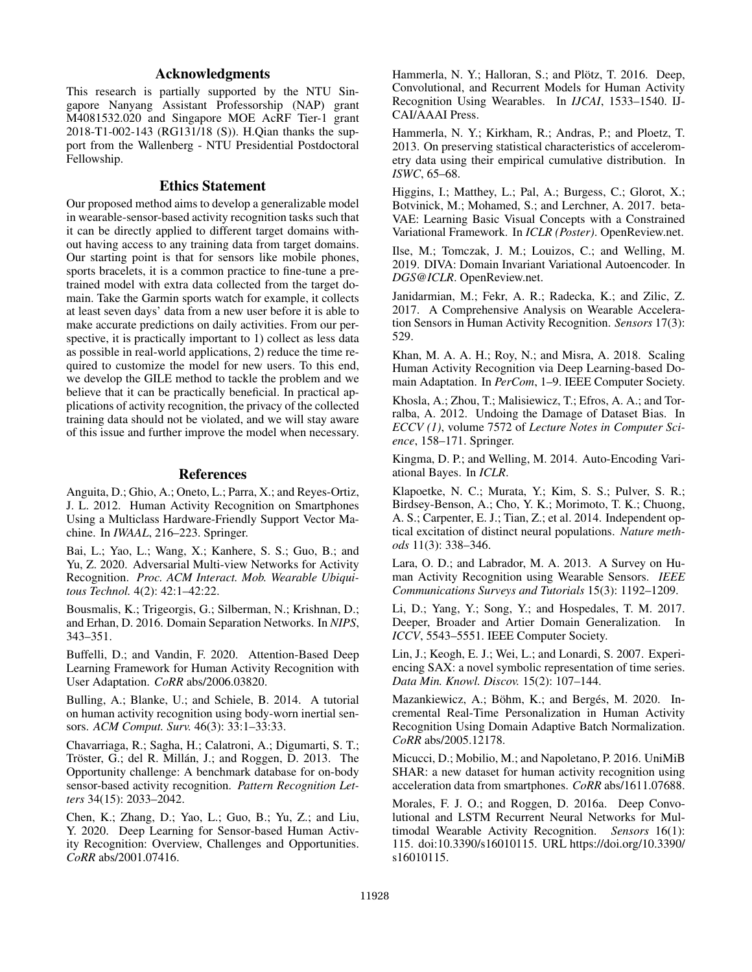# Acknowledgments

This research is partially supported by the NTU Singapore Nanyang Assistant Professorship (NAP) grant M4081532.020 and Singapore MOE AcRF Tier-1 grant 2018-T1-002-143 (RG131/18 (S)). H.Qian thanks the support from the Wallenberg - NTU Presidential Postdoctoral Fellowship.

### Ethics Statement

Our proposed method aims to develop a generalizable model in wearable-sensor-based activity recognition tasks such that it can be directly applied to different target domains without having access to any training data from target domains. Our starting point is that for sensors like mobile phones, sports bracelets, it is a common practice to fine-tune a pretrained model with extra data collected from the target domain. Take the Garmin sports watch for example, it collects at least seven days' data from a new user before it is able to make accurate predictions on daily activities. From our perspective, it is practically important to 1) collect as less data as possible in real-world applications, 2) reduce the time required to customize the model for new users. To this end, we develop the GILE method to tackle the problem and we believe that it can be practically beneficial. In practical applications of activity recognition, the privacy of the collected training data should not be violated, and we will stay aware of this issue and further improve the model when necessary.

### References

Anguita, D.; Ghio, A.; Oneto, L.; Parra, X.; and Reyes-Ortiz, J. L. 2012. Human Activity Recognition on Smartphones Using a Multiclass Hardware-Friendly Support Vector Machine. In *IWAAL*, 216–223. Springer.

Bai, L.; Yao, L.; Wang, X.; Kanhere, S. S.; Guo, B.; and Yu, Z. 2020. Adversarial Multi-view Networks for Activity Recognition. *Proc. ACM Interact. Mob. Wearable Ubiquitous Technol.* 4(2): 42:1–42:22.

Bousmalis, K.; Trigeorgis, G.; Silberman, N.; Krishnan, D.; and Erhan, D. 2016. Domain Separation Networks. In *NIPS*, 343–351.

Buffelli, D.; and Vandin, F. 2020. Attention-Based Deep Learning Framework for Human Activity Recognition with User Adaptation. *CoRR* abs/2006.03820.

Bulling, A.; Blanke, U.; and Schiele, B. 2014. A tutorial on human activity recognition using body-worn inertial sensors. *ACM Comput. Surv.* 46(3): 33:1–33:33.

Chavarriaga, R.; Sagha, H.; Calatroni, A.; Digumarti, S. T.; Tröster, G.; del R. Millán, J.; and Roggen, D. 2013. The Opportunity challenge: A benchmark database for on-body sensor-based activity recognition. *Pattern Recognition Letters* 34(15): 2033–2042.

Chen, K.; Zhang, D.; Yao, L.; Guo, B.; Yu, Z.; and Liu, Y. 2020. Deep Learning for Sensor-based Human Activity Recognition: Overview, Challenges and Opportunities. *CoRR* abs/2001.07416.

Hammerla, N. Y.; Halloran, S.; and Plötz, T. 2016. Deep, Convolutional, and Recurrent Models for Human Activity Recognition Using Wearables. In *IJCAI*, 1533–1540. IJ-CAI/AAAI Press.

Hammerla, N. Y.; Kirkham, R.; Andras, P.; and Ploetz, T. 2013. On preserving statistical characteristics of accelerometry data using their empirical cumulative distribution. In *ISWC*, 65–68.

Higgins, I.; Matthey, L.; Pal, A.; Burgess, C.; Glorot, X.; Botvinick, M.; Mohamed, S.; and Lerchner, A. 2017. beta-VAE: Learning Basic Visual Concepts with a Constrained Variational Framework. In *ICLR (Poster)*. OpenReview.net.

Ilse, M.; Tomczak, J. M.; Louizos, C.; and Welling, M. 2019. DIVA: Domain Invariant Variational Autoencoder. In *DGS@ICLR*. OpenReview.net.

Janidarmian, M.; Fekr, A. R.; Radecka, K.; and Zilic, Z. 2017. A Comprehensive Analysis on Wearable Acceleration Sensors in Human Activity Recognition. *Sensors* 17(3): 529.

Khan, M. A. A. H.; Roy, N.; and Misra, A. 2018. Scaling Human Activity Recognition via Deep Learning-based Domain Adaptation. In *PerCom*, 1–9. IEEE Computer Society.

Khosla, A.; Zhou, T.; Malisiewicz, T.; Efros, A. A.; and Torralba, A. 2012. Undoing the Damage of Dataset Bias. In *ECCV (1)*, volume 7572 of *Lecture Notes in Computer Science*, 158–171. Springer.

Kingma, D. P.; and Welling, M. 2014. Auto-Encoding Variational Bayes. In *ICLR*.

Klapoetke, N. C.; Murata, Y.; Kim, S. S.; Pulver, S. R.; Birdsey-Benson, A.; Cho, Y. K.; Morimoto, T. K.; Chuong, A. S.; Carpenter, E. J.; Tian, Z.; et al. 2014. Independent optical excitation of distinct neural populations. *Nature methods* 11(3): 338–346.

Lara, O. D.; and Labrador, M. A. 2013. A Survey on Human Activity Recognition using Wearable Sensors. *IEEE Communications Surveys and Tutorials* 15(3): 1192–1209.

Li, D.; Yang, Y.; Song, Y.; and Hospedales, T. M. 2017. Deeper, Broader and Artier Domain Generalization. In *ICCV*, 5543–5551. IEEE Computer Society.

Lin, J.; Keogh, E. J.; Wei, L.; and Lonardi, S. 2007. Experiencing SAX: a novel symbolic representation of time series. *Data Min. Knowl. Discov.* 15(2): 107–144.

Mazankiewicz, A.; Böhm, K.; and Bergés, M. 2020. Incremental Real-Time Personalization in Human Activity Recognition Using Domain Adaptive Batch Normalization. *CoRR* abs/2005.12178.

Micucci, D.; Mobilio, M.; and Napoletano, P. 2016. UniMiB SHAR: a new dataset for human activity recognition using acceleration data from smartphones. *CoRR* abs/1611.07688.

Morales, F. J. O.; and Roggen, D. 2016a. Deep Convolutional and LSTM Recurrent Neural Networks for Multimodal Wearable Activity Recognition. *Sensors* 16(1): 115. doi:10.3390/s16010115. URL https://doi.org/10.3390/ s16010115.